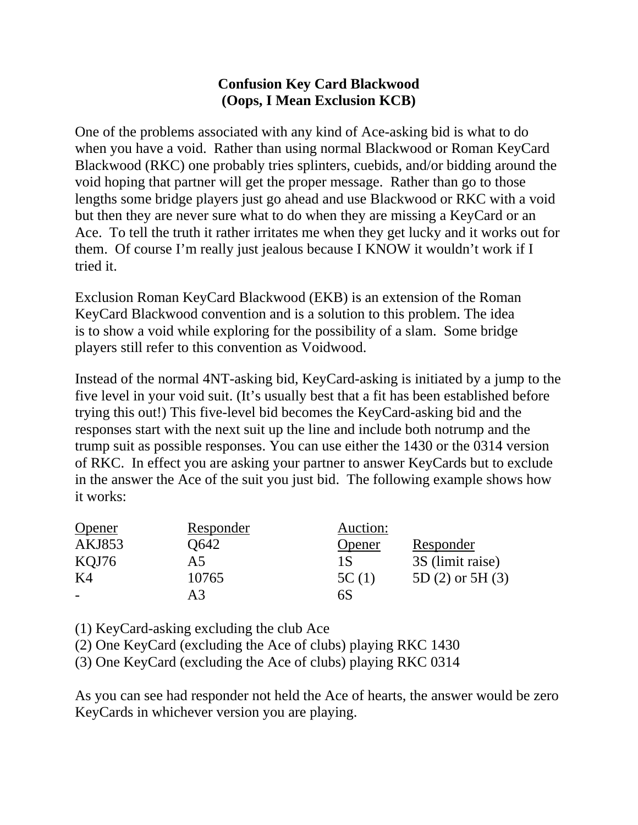## **Confusion Key Card Blackwood (Oops, I Mean Exclusion KCB)**

One of the problems associated with any kind of Ace-asking bid is what to do when you have a void. Rather than using normal Blackwood or Roman KeyCard Blackwood (RKC) one probably tries splinters, cuebids, and/or bidding around the void hoping that partner will get the proper message. Rather than go to those lengths some bridge players just go ahead and use Blackwood or RKC with a void but then they are never sure what to do when they are missing a KeyCard or an Ace. To tell the truth it rather irritates me when they get lucky and it works out for them. Of course I'm really just jealous because I KNOW it wouldn't work if I tried it.

Exclusion Roman KeyCard Blackwood (EKB) is an extension of the [Roman](http://www.bridgeguys.com/Conventions/RomanKCB.html)  [KeyCard Blackwood](http://www.bridgeguys.com/Conventions/RomanKCB.html) convention and is a solution to this problem. The idea is to show a void while exploring for the possibility of a slam. Some bridge players still refer to this convention as Voidwood.

Instead of the normal 4NT-asking bid, KeyCard-asking is initiated by a jump to the five level in your void suit. (It's usually best that a fit has been established before trying this out!) This five-level bid becomes the KeyCard-asking bid and the responses start with the next suit up the line and include both notrump and the trump suit as possible responses. You can use either the 1430 or the 0314 version of RKC. In effect you are asking your partner to answer KeyCards but to exclude in the answer the Ace of the suit you just bid. The following example shows how it works:

| Opener | Responder | Auction: |                      |
|--------|-----------|----------|----------------------|
| AKJ853 | Q642      | Opener   | Responder            |
| KQJ76  | А5        | 1 S      | 3S (limit raise)     |
| K4     | 10765     | 5C(1)    | 5D $(2)$ or 5H $(3)$ |
|        | A3        | 6S       |                      |

(1) KeyCard-asking excluding the club Ace

(2) One KeyCard (excluding the Ace of clubs) playing RKC 1430

(3) One KeyCard (excluding the Ace of clubs) playing RKC 0314

As you can see had responder not held the Ace of hearts, the answer would be zero KeyCards in whichever version you are playing.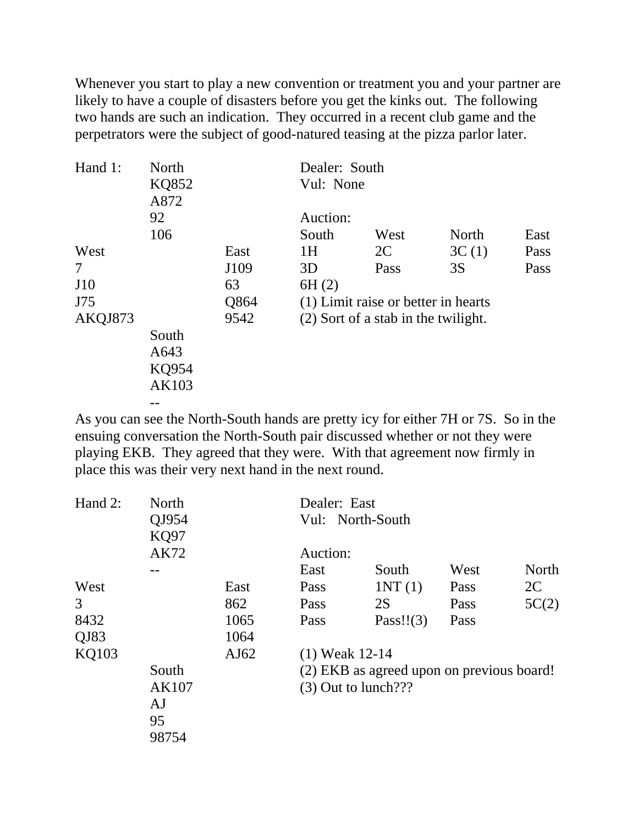Whenever you start to play a new convention or treatment you and your partner are likely to have a couple of disasters before you get the kinks out. The following two hands are such an indication. They occurred in a recent club game and the perpetrators were the subject of good-natured teasing at the pizza parlor later.

| Hand 1: | North               |      | Dealer: South                       |                                     |       |      |  |
|---------|---------------------|------|-------------------------------------|-------------------------------------|-------|------|--|
|         | KQ852<br>A872<br>92 |      | Vul: None<br>Auction:               |                                     |       |      |  |
|         |                     |      |                                     |                                     |       |      |  |
|         | 106                 |      | South                               | West                                | North | East |  |
| West    |                     | East | 1H                                  | 2C                                  | 3C(1) | Pass |  |
| 7       |                     | J109 | 3D                                  | Pass                                | 3S    | Pass |  |
| J10     |                     | 63   | 6H(2)                               |                                     |       |      |  |
| J75     |                     | Q864 |                                     | (1) Limit raise or better in hearts |       |      |  |
| AKQJ873 |                     | 9542 | (2) Sort of a stab in the twilight. |                                     |       |      |  |
|         | South               |      |                                     |                                     |       |      |  |
|         | A643                |      |                                     |                                     |       |      |  |
|         | KQ954               |      |                                     |                                     |       |      |  |
|         | AK103               |      |                                     |                                     |       |      |  |
|         |                     |      |                                     |                                     |       |      |  |

As you can see the North-South hands are pretty icy for either 7H or 7S. So in the ensuing conversation the North-South pair discussed whether or not they were playing EKB. They agreed that they were. With that agreement now firmly in place this was their very next hand in the next round.

| Hand 2:      | North<br>QJ954<br><b>KQ97</b><br>AK72 |      | Dealer: East                              |              |      |       |  |
|--------------|---------------------------------------|------|-------------------------------------------|--------------|------|-------|--|
|              |                                       |      | Vul: North-South                          |              |      |       |  |
|              |                                       |      |                                           |              |      |       |  |
|              |                                       |      | Auction:                                  |              |      |       |  |
|              |                                       |      | East                                      | South        | West | North |  |
| West         |                                       | East | Pass                                      | INT(1)       | Pass | 2C    |  |
| 3            |                                       | 862  | Pass                                      | 2S           | Pass | 5C(2) |  |
| 8432         |                                       | 1065 | Pass                                      | Pass!! $(3)$ | Pass |       |  |
| QJ83         |                                       | 1064 |                                           |              |      |       |  |
| <b>KQ103</b> |                                       | AJ62 | $(1)$ Weak 12-14                          |              |      |       |  |
|              | South                                 |      | (2) EKB as agreed upon on previous board! |              |      |       |  |
|              | AK107                                 |      | $(3)$ Out to lunch???                     |              |      |       |  |
|              | AJ                                    |      |                                           |              |      |       |  |
|              | 95                                    |      |                                           |              |      |       |  |
|              | 98754                                 |      |                                           |              |      |       |  |